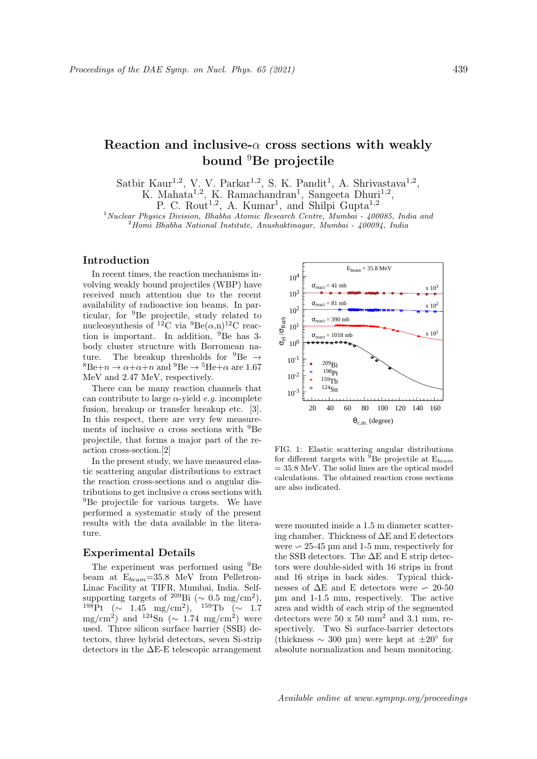# Reaction and inclusive- $\alpha$  cross sections with weakly bound <sup>9</sup>Be projectile

Satbir Kaur<sup>1,2</sup>, V. V. Parkar<sup>1,2</sup>, S. K. Pandit<sup>1</sup>, A. Shrivastava<sup>1,2</sup>, K. Mahata<sup>1,2</sup>, K. Ramachandran<sup>1</sup>, Sangeeta Dhuri<sup>1,2</sup>,

P. C. Rout<sup>1,2</sup>, A. Kumar<sup>1</sup>, and Shilpi Gupta<sup>1,2</sup>

 $1$ Nuclear Physics Division, Bhabha Atomic Research Centre, Mumbai - 400085, India and  $^{2}$ Homi Bhabha National Institute, Anushaktinagar, Mumbai - 400094, India

## Introduction

In recent times, the reaction mechanisms involving weakly bound projectiles (WBP) have received much attention due to the recent availability of radioactive ion beams. In particular, for <sup>9</sup>Be projectile, study related to nucleosynthesis of <sup>12</sup>C via  ${}^{9}Be(\alpha,n){}^{12}C$  reaction is important. In addition, <sup>9</sup>Be has 3 body cluster structure with Borromean nature. The breakup thresholds for  ${}^{9}Be \rightarrow$  ${}^{8}Be+n \rightarrow \alpha+\alpha+n$  and  ${}^{9}Be \rightarrow {}^{5}He+\alpha$  are 1.67 MeV and 2.47 MeV, respectively.

There can be many reaction channels that can contribute to large  $\alpha$ -yield *e.g.* incomplete fusion, breakup or transfer breakup etc. [3]. In this respect, there are very few measurements of inclusive  $\alpha$  cross sections with <sup>9</sup>Be projectile, that forms a major part of the reaction cross-section.[2]

In the present study, we have measured elastic scattering angular distributions to extract the reaction cross-sections and  $\alpha$  angular distributions to get inclusive  $\alpha$  cross sections with <sup>9</sup>Be projectile for various targets. We have performed a systematic study of the present results with the data available in the literature.

## Experimental Details

The experiment was performed using  $9Be$ beam at  $E_{beam} = 35.8$  MeV from Pelletron-Linac Facility at TIFR, Mumbai, India. Selfsupporting targets of <sup>209</sup>Bi (~ 0.5 mg/cm<sup>2</sup>),  $^{198}\text{Pt}$  (~ 1.45 mg/cm<sup>2</sup>),  $^{159}\text{Tb}$  (~ 1.7 mg/cm<sup>2</sup>) and <sup>124</sup>Sn ( $\sim 1.74$  mg/cm<sup>2</sup>) were used. Three silicon surface barrier (SSB) detectors, three hybrid detectors, seven Si-strip detectors in the ∆E-E telescopic arrangement



FIG. 1: Elastic scattering angular distributions for different targets with  $\overline{9}$ Be projectile at E<sub>beam</sub>  $= 35.8$  MeV. The solid lines are the optical model calculations. The obtained reaction cross sections are also indicated.

were mounted inside a 1.5 m diameter scattering chamber. Thickness of ∆E and E detectors were  $\sim$  25-45 µm and 1-5 mm, respectively for the SSB detectors. The ∆E and E strip detectors were double-sided with 16 strips in front and 16 strips in back sides. Typical thicknesses of  $\Delta E$  and E detectors were  $\sim 20-50$ µm and 1-1.5 mm, respectively. The active area and width of each strip of the segmented detectors were  $50 \times 50 \text{ mm}^2$  and  $3.1 \text{ mm}$ , respectively. Two Si surface-barrier detectors (thickness ∼ 300 µm) were kept at ±20◦ for absolute normalization and beam monitoring.